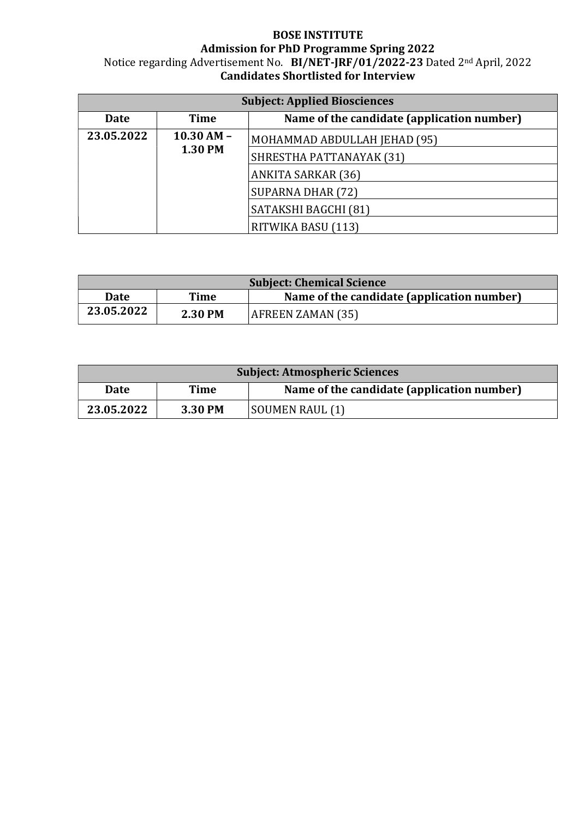## BOSE INSTITUTE Admission for PhD Programme Spring 2022 Notice regarding Advertisement No. BI/NET-JRF/01/2022-23 Dated 2<sup>nd</sup> April, 2022 Candidates Shortlisted for Interview

| <b>Subject: Applied Biosciences</b> |                                  |                                            |  |  |
|-------------------------------------|----------------------------------|--------------------------------------------|--|--|
| <b>Date</b>                         | Time                             | Name of the candidate (application number) |  |  |
| 23.05.2022                          | $10.30$ AM $-$<br><b>1.30 PM</b> | MOHAMMAD ABDULLAH JEHAD (95)               |  |  |
|                                     |                                  | SHRESTHA PATTANAYAK (31)                   |  |  |
|                                     |                                  | <b>ANKITA SARKAR (36)</b>                  |  |  |
|                                     |                                  | SUPARNA DHAR (72)                          |  |  |
|                                     |                                  | SATAKSHI BAGCHI (81)                       |  |  |
|                                     |                                  | RITWIKA BASU (113)                         |  |  |

| <b>Subject: Chemical Science</b> |         |                                            |  |
|----------------------------------|---------|--------------------------------------------|--|
| <b>Date</b>                      | Time    | Name of the candidate (application number) |  |
| 23.05.2022                       | 2.30 PM | AFREEN ZAMAN (35)                          |  |

| <b>Subject: Atmospheric Sciences</b> |         |                                            |  |  |
|--------------------------------------|---------|--------------------------------------------|--|--|
| <b>Date</b>                          | Time    | Name of the candidate (application number) |  |  |
| 23.05.2022                           | 3.30 PM | SOUMEN RAUL (1)                            |  |  |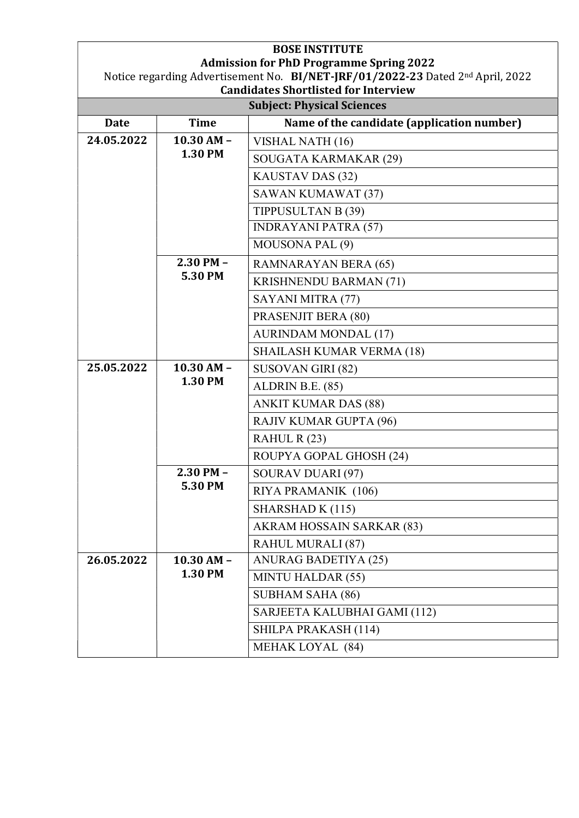|             |                          | <b>Admission for PhD Programme Spring 2022</b><br>Notice regarding Advertisement No. BI/NET-JRF/01/2022-23 Dated 2nd April, 2022<br><b>Candidates Shortlisted for Interview</b> |
|-------------|--------------------------|---------------------------------------------------------------------------------------------------------------------------------------------------------------------------------|
|             |                          | <b>Subject: Physical Sciences</b>                                                                                                                                               |
| <b>Date</b> | <b>Time</b>              | Name of the candidate (application number)                                                                                                                                      |
| 24.05.2022  | $10.30$ AM -<br>1.30 PM  | VISHAL NATH (16)                                                                                                                                                                |
|             |                          | SOUGATA KARMAKAR (29)                                                                                                                                                           |
|             |                          | KAUSTAV DAS (32)                                                                                                                                                                |
|             |                          | <b>SAWAN KUMAWAT (37)</b>                                                                                                                                                       |
|             |                          | TIPPUSULTAN B (39)                                                                                                                                                              |
|             |                          | <b>INDRAYANI PATRA (57)</b>                                                                                                                                                     |
|             |                          | MOUSONA PAL (9)                                                                                                                                                                 |
|             | $2.30$ PM $-$            | RAMNARAYAN BERA (65)                                                                                                                                                            |
|             | 5.30 PM                  | <b>KRISHNENDU BARMAN (71)</b>                                                                                                                                                   |
|             |                          | SAYANI MITRA (77)                                                                                                                                                               |
|             |                          | PRASENJIT BERA (80)                                                                                                                                                             |
|             |                          | <b>AURINDAM MONDAL (17)</b>                                                                                                                                                     |
|             |                          | <b>SHAILASH KUMAR VERMA (18)</b>                                                                                                                                                |
| 25.05.2022  | $10.30$ AM -<br>1.30 PM  | SUSOVAN GIRI (82)                                                                                                                                                               |
|             |                          | ALDRIN B.E. (85)                                                                                                                                                                |
|             |                          | <b>ANKIT KUMAR DAS (88)</b>                                                                                                                                                     |
|             |                          | RAJIV KUMAR GUPTA (96)                                                                                                                                                          |
|             |                          | RAHUL R(23)                                                                                                                                                                     |
|             |                          | ROUPYA GOPAL GHOSH (24)                                                                                                                                                         |
|             | $2.30$ PM $-$<br>5.30 PM | SOURAV DUARI (97)                                                                                                                                                               |
|             |                          | RIYA PRAMANIK (106)                                                                                                                                                             |
|             |                          | SHARSHAD K (115)                                                                                                                                                                |
|             |                          | AKRAM HOSSAIN SARKAR (83)                                                                                                                                                       |
|             |                          | RAHUL MURALI (87)                                                                                                                                                               |
| 26.05.2022  | $10.30$ AM $-$           | ANURAG BADETIYA (25)                                                                                                                                                            |
|             | 1.30 PM                  | <b>MINTU HALDAR (55)</b>                                                                                                                                                        |
|             |                          | <b>SUBHAM SAHA (86)</b>                                                                                                                                                         |
|             |                          | SARJEETA KALUBHAI GAMI (112)                                                                                                                                                    |
|             |                          | SHILPA PRAKASH (114)                                                                                                                                                            |
|             |                          | MEHAK LOYAL (84)                                                                                                                                                                |